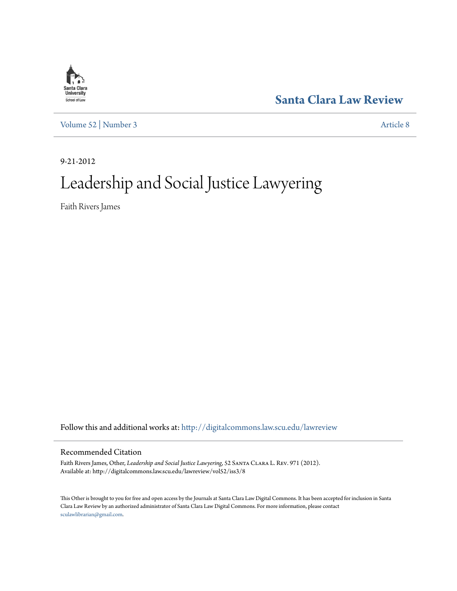

**[Santa Clara Law Review](http://digitalcommons.law.scu.edu/lawreview?utm_source=digitalcommons.law.scu.edu%2Flawreview%2Fvol52%2Fiss3%2F8&utm_medium=PDF&utm_campaign=PDFCoverPages)**

[Volume 52](http://digitalcommons.law.scu.edu/lawreview/vol52?utm_source=digitalcommons.law.scu.edu%2Flawreview%2Fvol52%2Fiss3%2F8&utm_medium=PDF&utm_campaign=PDFCoverPages) | [Number 3](http://digitalcommons.law.scu.edu/lawreview/vol52/iss3?utm_source=digitalcommons.law.scu.edu%2Flawreview%2Fvol52%2Fiss3%2F8&utm_medium=PDF&utm_campaign=PDFCoverPages) [Article 8](http://digitalcommons.law.scu.edu/lawreview/vol52/iss3/8?utm_source=digitalcommons.law.scu.edu%2Flawreview%2Fvol52%2Fiss3%2F8&utm_medium=PDF&utm_campaign=PDFCoverPages)

9-21-2012

# Leadership and Social Justice Lawyering

Faith Rivers James

Follow this and additional works at: [http://digitalcommons.law.scu.edu/lawreview](http://digitalcommons.law.scu.edu/lawreview?utm_source=digitalcommons.law.scu.edu%2Flawreview%2Fvol52%2Fiss3%2F8&utm_medium=PDF&utm_campaign=PDFCoverPages)

# Recommended Citation

Faith Rivers James, Other, *Leadership and Social Justice Lawyering*, 52 Santa Clara L. Rev. 971 (2012). Available at: http://digitalcommons.law.scu.edu/lawreview/vol52/iss3/8

This Other is brought to you for free and open access by the Journals at Santa Clara Law Digital Commons. It has been accepted for inclusion in Santa Clara Law Review by an authorized administrator of Santa Clara Law Digital Commons. For more information, please contact [sculawlibrarian@gmail.com](mailto:sculawlibrarian@gmail.com).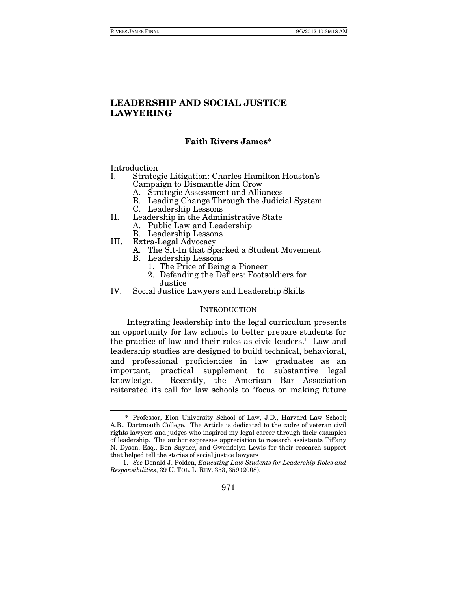#### **Faith Rivers James\***

Introduction<br>I. Strates

- Strategic Litigation: Charles Hamilton Houston's Campaign to Dismantle Jim Crow
	- A. Strategic Assessment and Alliances
	- B. Leading Change Through the Judicial System
	- C. Leadership Lessons
- II. Leadership in the Administrative State
	- A. Public Law and Leadership
	- B. Leadership Lessons
- III. Extra-Legal Advocacy
	- A. The Sit-In that Sparked a Student Movement
	- B. Leadership Lessons
		- 1. The Price of Being a Pioneer
		- 2. Defending the Defiers: Footsoldiers for
		- Justice
- IV. Social Justice Lawyers and Leadership Skills

#### **INTRODUCTION**

Integrating leadership into the legal curriculum presents an opportunity for law schools to better prepare students for the practice of law and their roles as civic leaders.<sup>1</sup> Law and leadership studies are designed to build technical, behavioral, and professional proficiencies in law graduates as an important, practical supplement to substantive legal knowledge. Recently, the American Bar Association reiterated its call for law schools to "focus on making future

<sup>\*</sup> Professor, Elon University School of Law, J.D., Harvard Law School; A.B., Dartmouth College. The Article is dedicated to the cadre of veteran civil rights lawyers and judges who inspired my legal career through their examples of leadership. The author expresses appreciation to research assistants Tiffany N. Dyson, Esq., Ben Snyder, and Gwendolyn Lewis for their research support that helped tell the stories of social justice lawyers

<sup>1.</sup> See Donald J. Polden, Educating Law Students for Leadership Roles and Responsibilities, 39 U. TOL. L. REV. 353, 359 (2008).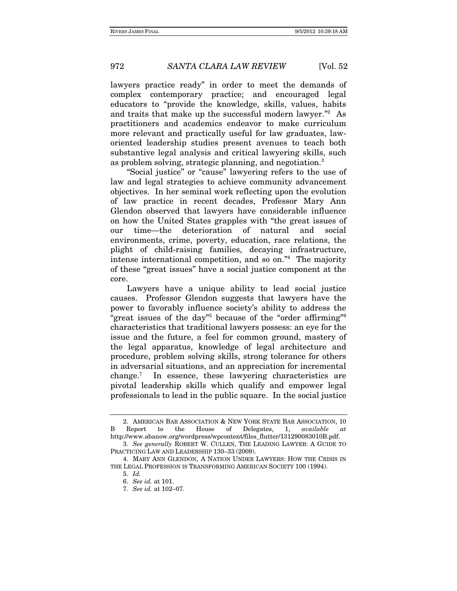lawyers practice ready" in order to meet the demands of complex contemporary practice; and encouraged legal educators to "provide the knowledge, skills, values, habits and traits that make up the successful modern lawyer."2 As practitioners and academics endeavor to make curriculum more relevant and practically useful for law graduates, laworiented leadership studies present avenues to teach both substantive legal analysis and critical lawyering skills, such as problem solving, strategic planning, and negotiation.3

"Social justice" or "cause" lawyering refers to the use of law and legal strategies to achieve community advancement objectives. In her seminal work reflecting upon the evolution of law practice in recent decades, Professor Mary Ann Glendon observed that lawyers have considerable influence on how the United States grapples with "the great issues of our time—the deterioration of natural and social environments, crime, poverty, education, race relations, the plight of child-raising families, decaying infrastructure, intense international competition, and so on."4 The majority of these "great issues" have a social justice component at the core.

Lawyers have a unique ability to lead social justice causes. Professor Glendon suggests that lawyers have the power to favorably influence society's ability to address the "great issues of the day"5 because of the "order affirming"6 characteristics that traditional lawyers possess: an eye for the issue and the future, a feel for common ground, mastery of the legal apparatus, knowledge of legal architecture and procedure, problem solving skills, strong tolerance for others in adversarial situations, and an appreciation for incremental change.<sup>7</sup> In essence, these lawyering characteristics are pivotal leadership skills which qualify and empower legal professionals to lead in the public square. In the social justice

 <sup>2.</sup> AMERICAN BAR ASSOCIATION & NEW YORK STATE BAR ASSOCIATION, 10 B Report to the House of Delegates, 1, available at http://www.abanow.org/wordpress/wpcontent/files\_flutter/131290083010B.pdf.

<sup>3.</sup> See generally ROBERT W. CULLEN, THE LEADING LAWYER: A GUIDE TO PRACTICING LAW AND LEADERSHIP 130–33 (2009).

 <sup>4.</sup> MARY ANN GLENDON, A NATION UNDER LAWYERS: HOW THE CRISIS IN THE LEGAL PROFESSION IS TRANSFORMING AMERICAN SOCIETY 100 (1994).

<sup>5.</sup> Id.

<sup>6.</sup> See id. at 101.

<sup>7.</sup> See id. at 102–07.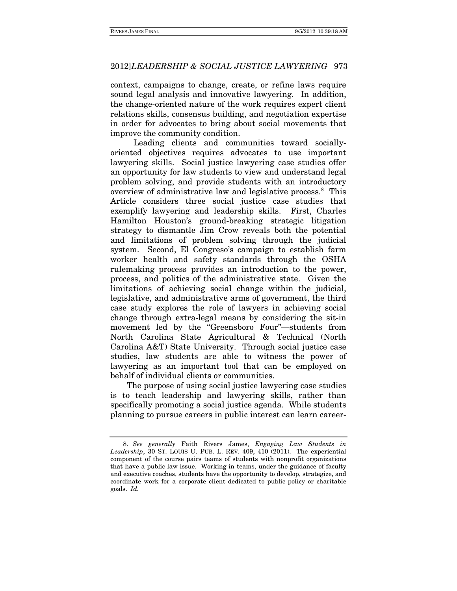context, campaigns to change, create, or refine laws require sound legal analysis and innovative lawyering. In addition, the change-oriented nature of the work requires expert client relations skills, consensus building, and negotiation expertise in order for advocates to bring about social movements that improve the community condition.

 Leading clients and communities toward sociallyoriented objectives requires advocates to use important lawyering skills. Social justice lawyering case studies offer an opportunity for law students to view and understand legal problem solving, and provide students with an introductory overview of administrative law and legislative process.8 This Article considers three social justice case studies that exemplify lawyering and leadership skills. First, Charles Hamilton Houston's ground-breaking strategic litigation strategy to dismantle Jim Crow reveals both the potential and limitations of problem solving through the judicial system. Second, El Congreso's campaign to establish farm worker health and safety standards through the OSHA rulemaking process provides an introduction to the power, process, and politics of the administrative state. Given the limitations of achieving social change within the judicial, legislative, and administrative arms of government, the third case study explores the role of lawyers in achieving social change through extra-legal means by considering the sit-in movement led by the "Greensboro Four"—students from North Carolina State Agricultural & Technical (North Carolina A&T) State University. Through social justice case studies, law students are able to witness the power of lawyering as an important tool that can be employed on behalf of individual clients or communities.

The purpose of using social justice lawyering case studies is to teach leadership and lawyering skills, rather than specifically promoting a social justice agenda. While students planning to pursue careers in public interest can learn career-

<sup>8.</sup> See generally Faith Rivers James, Engaging Law Students in Leadership, 30 ST. LOUIS U. PUB. L. REV. 409, 410 (2011). The experiential component of the course pairs teams of students with nonprofit organizations that have a public law issue. Working in teams, under the guidance of faculty and executive coaches, students have the opportunity to develop, strategize, and coordinate work for a corporate client dedicated to public policy or charitable goals. Id.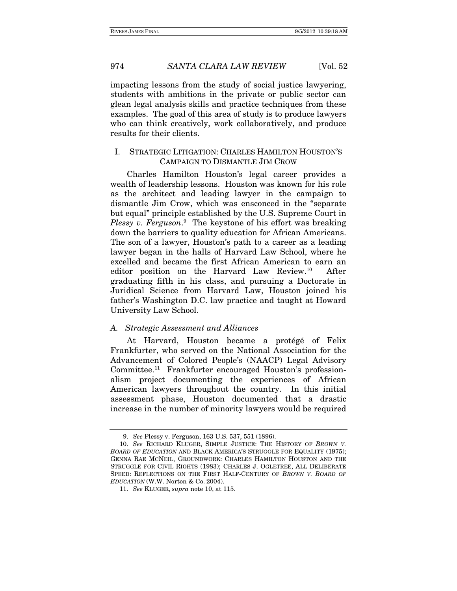impacting lessons from the study of social justice lawyering, students with ambitions in the private or public sector can glean legal analysis skills and practice techniques from these examples. The goal of this area of study is to produce lawyers who can think creatively, work collaboratively, and produce results for their clients.

# I. STRATEGIC LITIGATION: CHARLES HAMILTON HOUSTON'S CAMPAIGN TO DISMANTLE JIM CROW

Charles Hamilton Houston's legal career provides a wealth of leadership lessons. Houston was known for his role as the architect and leading lawyer in the campaign to dismantle Jim Crow, which was ensconced in the "separate but equal" principle established by the U.S. Supreme Court in Plessy v. Ferguson.<sup>9</sup> The keystone of his effort was breaking down the barriers to quality education for African Americans. The son of a lawyer, Houston's path to a career as a leading lawyer began in the halls of Harvard Law School, where he excelled and became the first African American to earn an editor position on the Harvard Law Review.10 After graduating fifth in his class, and pursuing a Doctorate in Juridical Science from Harvard Law, Houston joined his father's Washington D.C. law practice and taught at Howard University Law School.

#### A. Strategic Assessment and Alliances

At Harvard, Houston became a protégé of Felix Frankfurter, who served on the National Association for the Advancement of Colored People's (NAACP) Legal Advisory Committee.11 Frankfurter encouraged Houston's professionalism project documenting the experiences of African American lawyers throughout the country. In this initial assessment phase, Houston documented that a drastic increase in the number of minority lawyers would be required

<sup>9.</sup> See Plessy v. Ferguson, 163 U.S. 537, 551 (1896).

<sup>10.</sup> See RICHARD KLUGER, SIMPLE JUSTICE: THE HISTORY OF BROWN V. BOARD OF EDUCATION AND BLACK AMERICA'S STRUGGLE FOR EQUALITY (1975); GENNA RAE MCNEIL, GROUNDWORK: CHARLES HAMILTON HOUSTON AND THE STRUGGLE FOR CIVIL RIGHTS (1983); CHARLES J. OGLETREE, ALL DELIBERATE SPEED: REFLECTIONS ON THE FIRST HALF-CENTURY OF BROWN V. BOARD OF EDUCATION (W.W. Norton & Co. 2004).

<sup>11.</sup> See KLUGER, supra note 10, at 115.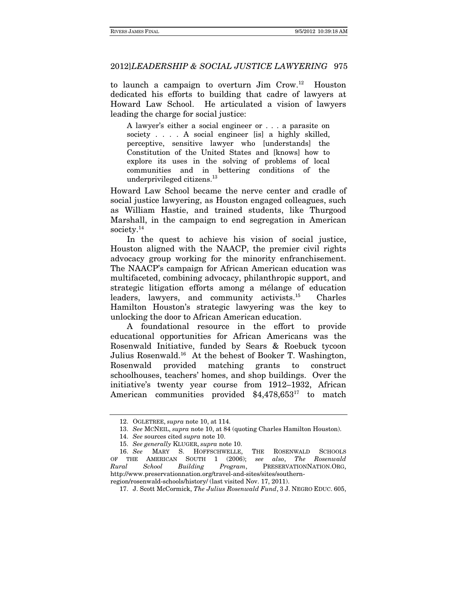to launch a campaign to overturn Jim Crow.12 Houston dedicated his efforts to building that cadre of lawyers at Howard Law School. He articulated a vision of lawyers leading the charge for social justice:

A lawyer's either a social engineer or . . . a parasite on society . . . . A social engineer [is] a highly skilled, perceptive, sensitive lawyer who [understands] the Constitution of the United States and [knows] how to explore its uses in the solving of problems of local communities and in bettering conditions of the underprivileged citizens.<sup>13</sup>

Howard Law School became the nerve center and cradle of social justice lawyering, as Houston engaged colleagues, such as William Hastie, and trained students, like Thurgood Marshall, in the campaign to end segregation in American society.<sup>14</sup>

 In the quest to achieve his vision of social justice, Houston aligned with the NAACP, the premier civil rights advocacy group working for the minority enfranchisement. The NAACP's campaign for African American education was multifaceted, combining advocacy, philanthropic support, and strategic litigation efforts among a mélange of education leaders, lawyers, and community activists.15 Charles Hamilton Houston's strategic lawyering was the key to unlocking the door to African American education.

A foundational resource in the effort to provide educational opportunities for African Americans was the Rosenwald Initiative, funded by Sears & Roebuck tycoon Julius Rosenwald.16 At the behest of Booker T. Washington, Rosenwald provided matching grants to construct schoolhouses, teachers' homes, and shop buildings. Over the initiative's twenty year course from 1912–1932, African American communities provided \$4,478,653<sup>17</sup> to match

 <sup>12.</sup> OGLETREE, supra note 10, at 114.

<sup>13.</sup> See MCNEIL, supra note 10, at 84 (quoting Charles Hamilton Houston).

<sup>14.</sup> See sources cited supra note 10.

<sup>15.</sup> See generally KLUGER, supra note 10.

<sup>16.</sup> See MARY S. HOFFSCHWELLE, THE ROSENWALD SCHOOLS OF THE AMERICAN SOUTH 1 (2006); see also, The Rosenwald Rural School Building Program, PRESERVATIONNATION.ORG, http://www.preservationnation.org/travel-and-sites/sites/southern-

region/rosenwald-schools/history/ (last visited Nov. 17, 2011).

 <sup>17.</sup> J. Scott McCormick, The Julius Rosenwald Fund, 3 J. NEGRO EDUC. 605,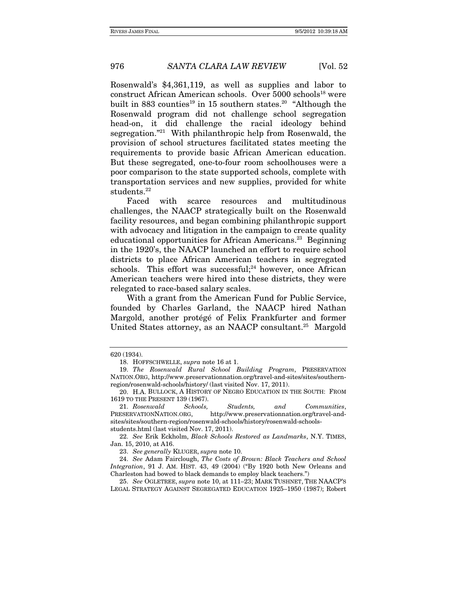Rosenwald's \$4,361,119, as well as supplies and labor to construct African American schools. Over 5000 schools<sup>18</sup> were built in 883 counties<sup>19</sup> in 15 southern states.<sup>20</sup> "Although the Rosenwald program did not challenge school segregation head-on, it did challenge the racial ideology behind segregation."21 With philanthropic help from Rosenwald, the provision of school structures facilitated states meeting the requirements to provide basic African American education. But these segregated, one-to-four room schoolhouses were a poor comparison to the state supported schools, complete with transportation services and new supplies, provided for white students.<sup>22</sup>

Faced with scarce resources and multitudinous challenges, the NAACP strategically built on the Rosenwald facility resources, and began combining philanthropic support with advocacy and litigation in the campaign to create quality educational opportunities for African Americans.<sup>23</sup> Beginning in the 1920's, the NAACP launched an effort to require school districts to place African American teachers in segregated schools. This effort was successful; $24$  however, once African American teachers were hired into these districts, they were relegated to race-based salary scales.

With a grant from the American Fund for Public Service, founded by Charles Garland, the NAACP hired Nathan Margold, another protégé of Felix Frankfurter and former United States attorney, as an NAACP consultant.25 Margold

22. See Erik Eckholm, Black Schools Restored as Landmarks, N.Y. TIMES, Jan. 15, 2010, at A16.

23. See generally KLUGER, supra note 10.

25. See OGLETREE, supra note 10, at 111–23; MARK TUSHNET, THE NAACP'S LEGAL STRATEGY AGAINST SEGREGATED EDUCATION 1925–1950 (1987); Robert

<sup>620 (1934).</sup> 

 <sup>18.</sup> HOFFSCHWELLE, supra note 16 at 1.

<sup>19.</sup> The Rosenwald Rural School Building Program, PRESERVATION NATION.ORG, http://www.preservationnation.org/travel-and-sites/sites/southernregion/rosenwald-schools/history/ (last visited Nov. 17, 2011).

 <sup>20.</sup> H.A. BULLOCK, A HISTORY OF NEGRO EDUCATION IN THE SOUTH: FROM 1619 TO THE PRESENT 139 (1967).

<sup>21.</sup> Rosenwald Schools, Students, and Communities,<br>PRESERVATIONNATION.ORG, http://www.preservationnation.org/travel-andhttp://www.preservationnation.org/travel-andsites/sites/southern-region/rosenwald-schools/history/rosenwald-schoolsstudents.html (last visited Nov. 17, 2011).

<sup>24.</sup> See Adam Fairclough, The Costs of Brown: Black Teachers and School Integration, 91 J. AM. HIST. 43, 49 (2004) ("By 1920 both New Orleans and Charleston had bowed to black demands to employ black teachers.")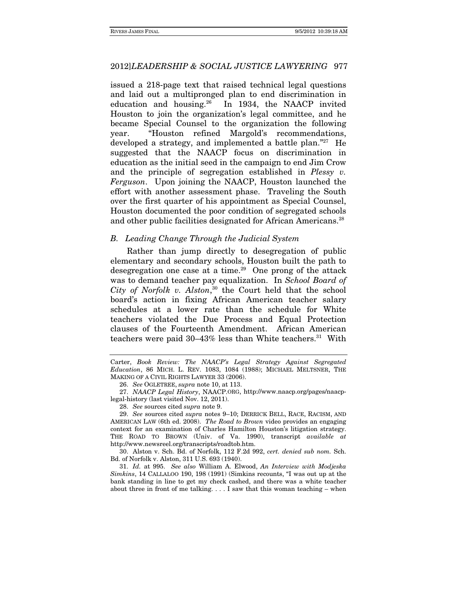issued a 218-page text that raised technical legal questions and laid out a multipronged plan to end discrimination in education and housing.26 In 1934, the NAACP invited Houston to join the organization's legal committee, and he became Special Counsel to the organization the following year. "Houston refined Margold's recommendations, developed a strategy, and implemented a battle plan."27 He suggested that the NAACP focus on discrimination in education as the initial seed in the campaign to end Jim Crow and the principle of segregation established in Plessy v. Ferguson. Upon joining the NAACP, Houston launched the effort with another assessment phase. Traveling the South over the first quarter of his appointment as Special Counsel, Houston documented the poor condition of segregated schools and other public facilities designated for African Americans.<sup>28</sup>

#### B. Leading Change Through the Judicial System

Rather than jump directly to desegregation of public elementary and secondary schools, Houston built the path to desegregation one case at a time.29 One prong of the attack was to demand teacher pay equalization. In School Board of City of Norfolk v. Alston, <sup>30</sup> the Court held that the school board's action in fixing African American teacher salary schedules at a lower rate than the schedule for White teachers violated the Due Process and Equal Protection clauses of the Fourteenth Amendment. African American teachers were paid  $30-43\%$  less than White teachers.<sup>31</sup> With

Carter, Book Review: The NAACP's Legal Strategy Against Segregated Education, 86 MICH. L. REV. 1083, 1084 (1988); MICHAEL MELTSNER, THE MAKING OF A CIVIL RIGHTS LAWYER 33 (2006).

<sup>26.</sup> See OGLETREE, supra note 10, at 113.

<sup>27.</sup> NAACP Legal History, NAACP.ORG, http://www.naacp.org/pages/naacplegal-history (last visited Nov. 12, 2011).

<sup>28.</sup> See sources cited supra note 9.

<sup>29.</sup> See sources cited supra notes 9–10; DERRICK BELL, RACE, RACISM, AND AMERICAN LAW (6th ed. 2008). The Road to Brown video provides an engaging context for an examination of Charles Hamilton Houston's litigation strategy. THE ROAD TO BROWN (Univ. of Va. 1990), transcript *available* at http://www.newsreel.org/transcripts/roadtob.htm.

 <sup>30.</sup> Alston v. Sch. Bd. of Norfolk, 112 F.2d 992, cert. denied sub nom. Sch. Bd. of Norfolk v. Alston, 311 U.S. 693 (1940).

<sup>31.</sup> Id. at 995. See also William A. Elwood, An Interview with Modjeska Simkins, 14 CALLALOO 190, 198 (1991) (Simkins recounts, "I was out up at the bank standing in line to get my check cashed, and there was a white teacher about three in front of me talking.  $\dots$  I saw that this woman teaching – when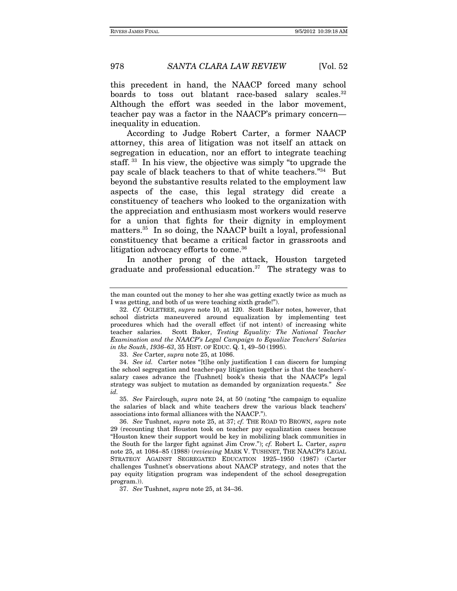this precedent in hand, the NAACP forced many school boards to toss out blatant race-based salary scales.<sup>32</sup> Although the effort was seeded in the labor movement, teacher pay was a factor in the NAACP's primary concern inequality in education.

According to Judge Robert Carter, a former NAACP attorney, this area of litigation was not itself an attack on segregation in education, nor an effort to integrate teaching staff. 33 In his view, the objective was simply "to upgrade the pay scale of black teachers to that of white teachers."34 But beyond the substantive results related to the employment law aspects of the case, this legal strategy did create a constituency of teachers who looked to the organization with the appreciation and enthusiasm most workers would reserve for a union that fights for their dignity in employment matters.<sup>35</sup> In so doing, the NAACP built a loyal, professional constituency that became a critical factor in grassroots and litigation advocacy efforts to come.<sup>36</sup>

In another prong of the attack, Houston targeted graduate and professional education.<sup>37</sup> The strategy was to

the man counted out the money to her she was getting exactly twice as much as I was getting, and both of us were teaching sixth grade!").

<sup>32.</sup> Cf. OGLETREE, supra note 10, at 120. Scott Baker notes, however, that school districts maneuvered around equalization by implementing test procedures which had the overall effect (if not intent) of increasing white teacher salaries. Scott Baker, Testing Equality: The National Teacher Examination and the NAACP's Legal Campaign to Equalize Teachers' Salaries in the South, 1936–63, 35 HIST. OF EDUC. Q. 1, 49–50 (1995).

<sup>33.</sup> See Carter, supra note 25, at 1086.

<sup>34.</sup> See id. Carter notes "[t]he only justification I can discern for lumping the school segregation and teacher-pay litigation together is that the teachers' salary cases advance the [Tushnet] book's thesis that the NAACP's legal strategy was subject to mutation as demanded by organization requests." See id.

<sup>35.</sup> See Fairclough, supra note 24, at 50 (noting "the campaign to equalize the salaries of black and white teachers drew the various black teachers' associations into formal alliances with the NAACP.").

<sup>36.</sup> See Tushnet, supra note 25, at 37; cf. THE ROAD TO BROWN, supra note 29 (recounting that Houston took on teacher pay equalization cases because "Houston knew their support would be key in mobilizing black communities in the South for the larger fight against Jim Crow."); cf. Robert L. Carter, supra note 25, at 1084–85 (1988) (reviewing MARK V. TUSHNET, THE NAACP'S LEGAL STRATEGY AGAINST SEGREGATED EDUCATION 1925–1950 (1987) (Carter challenges Tushnet's observations about NAACP strategy, and notes that the pay equity litigation program was independent of the school desegregation program.)).

<sup>37.</sup> See Tushnet, supra note 25, at 34–36.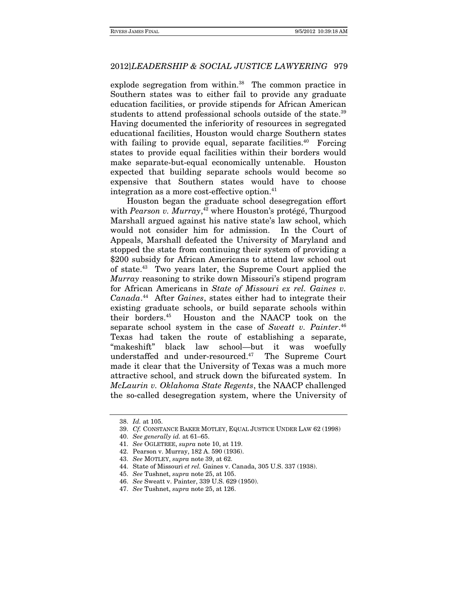explode segregation from within.<sup>38</sup> The common practice in Southern states was to either fail to provide any graduate education facilities, or provide stipends for African American students to attend professional schools outside of the state.<sup>39</sup> Having documented the inferiority of resources in segregated educational facilities, Houston would charge Southern states with failing to provide equal, separate facilities.<sup>40</sup> Forcing states to provide equal facilities within their borders would make separate-but-equal economically untenable. Houston expected that building separate schools would become so expensive that Southern states would have to choose integration as a more cost-effective option.<sup>41</sup>

Houston began the graduate school desegregation effort with Pearson v. Murray,<sup>42</sup> where Houston's protégé, Thurgood Marshall argued against his native state's law school, which would not consider him for admission. In the Court of Appeals, Marshall defeated the University of Maryland and stopped the state from continuing their system of providing a \$200 subsidy for African Americans to attend law school out of state.43 Two years later, the Supreme Court applied the Murray reasoning to strike down Missouri's stipend program for African Americans in State of Missouri ex rel. Gaines v. Canada.<sup>44</sup> After Gaines, states either had to integrate their existing graduate schools, or build separate schools within their borders.45 Houston and the NAACP took on the separate school system in the case of Sweatt v. Painter.<sup>46</sup> Texas had taken the route of establishing a separate, "makeshift" black law school—but it was woefully understaffed and under-resourced.47 The Supreme Court made it clear that the University of Texas was a much more attractive school, and struck down the bifurcated system. In McLaurin v. Oklahoma State Regents, the NAACP challenged the so-called desegregation system, where the University of

<sup>38.</sup> Id. at 105.

<sup>39.</sup> Cf. CONSTANCE BAKER MOTLEY, EQUAL JUSTICE UNDER LAW 62 (1998)

<sup>40.</sup> See generally id. at 61–65.

<sup>41.</sup> See OGLETREE, supra note 10, at 119.

 <sup>42.</sup> Pearson v. Murray, 182 A. 590 (1936).

<sup>43.</sup> See MOTLEY, supra note 39, at 62.

 <sup>44.</sup> State of Missouri et rel. Gaines v. Canada, 305 U.S. 337 (1938).

<sup>45.</sup> See Tushnet, supra note 25, at 105.

<sup>46.</sup> See Sweatt v. Painter, 339 U.S. 629 (1950).

<sup>47.</sup> See Tushnet, supra note 25, at 126.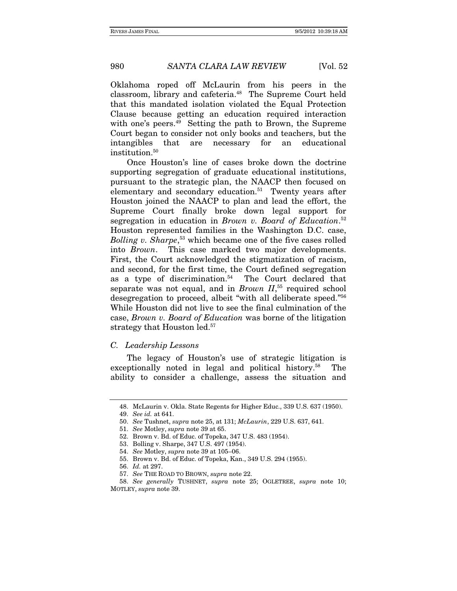Oklahoma roped off McLaurin from his peers in the classroom, library and cafeteria.48 The Supreme Court held that this mandated isolation violated the Equal Protection Clause because getting an education required interaction with one's peers.<sup>49</sup> Setting the path to Brown, the Supreme Court began to consider not only books and teachers, but the intangibles that are necessary for an educational institution.<sup>50</sup>

Once Houston's line of cases broke down the doctrine supporting segregation of graduate educational institutions, pursuant to the strategic plan, the NAACP then focused on elementary and secondary education.<sup>51</sup> Twenty years after Houston joined the NAACP to plan and lead the effort, the Supreme Court finally broke down legal support for segregation in education in Brown v. Board of Education.<sup>52</sup> Houston represented families in the Washington D.C. case, Bolling v. Sharpe,<sup>53</sup> which became one of the five cases rolled into Brown. This case marked two major developments. First, the Court acknowledged the stigmatization of racism, and second, for the first time, the Court defined segregation as a type of discrimination.54 The Court declared that separate was not equal, and in *Brown*  $II$ <sup>55</sup> required school desegregation to proceed, albeit "with all deliberate speed."56 While Houston did not live to see the final culmination of the case, Brown v. Board of Education was borne of the litigation strategy that Houston led.<sup>57</sup>

#### C. Leadership Lessons

The legacy of Houston's use of strategic litigation is exceptionally noted in legal and political history.<sup>58</sup> The ability to consider a challenge, assess the situation and

 <sup>48.</sup> McLaurin v. Okla. State Regents for Higher Educ., 339 U.S. 637 (1950).

<sup>49.</sup> See id. at 641.

<sup>50.</sup> See Tushnet, supra note 25, at 131; McLaurin, 229 U.S. 637, 641.

<sup>51.</sup> See Motley, supra note 39 at 65.

 <sup>52.</sup> Brown v. Bd. of Educ. of Topeka, 347 U.S. 483 (1954).

 <sup>53.</sup> Bolling v. Sharpe, 347 U.S. 497 (1954).

<sup>54.</sup> See Motley, supra note 39 at 105–06.

 <sup>55.</sup> Brown v. Bd. of Educ. of Topeka, Kan., 349 U.S. 294 (1955).

<sup>56.</sup> Id. at 297.

<sup>57.</sup> See THE ROAD TO BROWN, supra note 22.

<sup>58.</sup> See generally TUSHNET, supra note 25; OGLETREE, supra note 10; MOTLEY, supra note 39.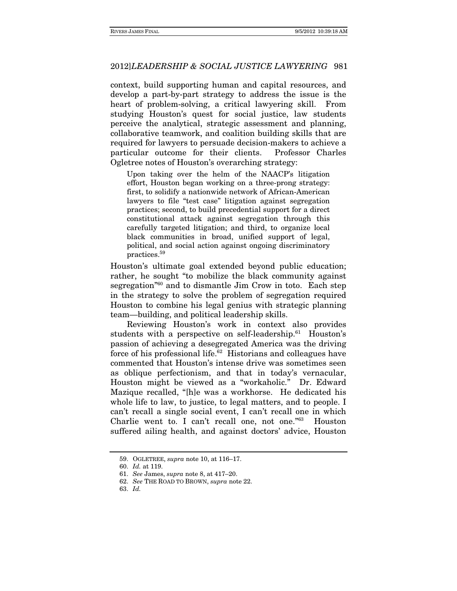context, build supporting human and capital resources, and develop a part-by-part strategy to address the issue is the heart of problem-solving, a critical lawyering skill. From studying Houston's quest for social justice, law students perceive the analytical, strategic assessment and planning, collaborative teamwork, and coalition building skills that are required for lawyers to persuade decision-makers to achieve a particular outcome for their clients. Professor Charles Ogletree notes of Houston's overarching strategy:

Upon taking over the helm of the NAACP's litigation effort, Houston began working on a three-prong strategy: first, to solidify a nationwide network of African-American lawyers to file "test case" litigation against segregation practices; second, to build precedential support for a direct constitutional attack against segregation through this carefully targeted litigation; and third, to organize local black communities in broad, unified support of legal, political, and social action against ongoing discriminatory practices.59

Houston's ultimate goal extended beyond public education; rather, he sought "to mobilize the black community against segregation"60 and to dismantle Jim Crow in toto. Each step in the strategy to solve the problem of segregation required Houston to combine his legal genius with strategic planning team—building, and political leadership skills.

Reviewing Houston's work in context also provides students with a perspective on self-leadership.<sup>61</sup> Houston's passion of achieving a desegregated America was the driving force of his professional life.<sup>62</sup> Historians and colleagues have commented that Houston's intense drive was sometimes seen as oblique perfectionism, and that in today's vernacular, Houston might be viewed as a "workaholic." Dr. Edward Mazique recalled, "[h]e was a workhorse. He dedicated his whole life to law, to justice, to legal matters, and to people. I can't recall a single social event, I can't recall one in which Charlie went to. I can't recall one, not one."63 Houston suffered ailing health, and against doctors' advice, Houston

 <sup>59.</sup> OGLETREE, supra note 10, at 116–17.

<sup>60.</sup> Id. at 119.

<sup>61.</sup> See James, supra note 8, at 417–20.

<sup>62.</sup> See THE ROAD TO BROWN, supra note 22.

<sup>63.</sup> Id.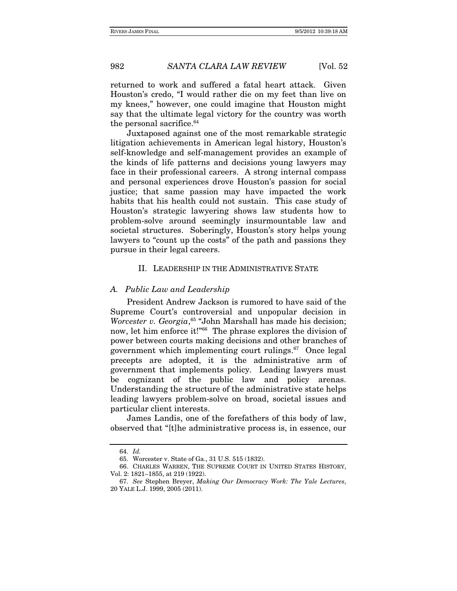returned to work and suffered a fatal heart attack. Given Houston's credo, "I would rather die on my feet than live on my knees," however, one could imagine that Houston might say that the ultimate legal victory for the country was worth the personal sacrifice.<sup>64</sup>

Juxtaposed against one of the most remarkable strategic litigation achievements in American legal history, Houston's self-knowledge and self-management provides an example of the kinds of life patterns and decisions young lawyers may face in their professional careers. A strong internal compass and personal experiences drove Houston's passion for social justice; that same passion may have impacted the work habits that his health could not sustain. This case study of Houston's strategic lawyering shows law students how to problem-solve around seemingly insurmountable law and societal structures. Soberingly, Houston's story helps young lawyers to "count up the costs" of the path and passions they pursue in their legal careers.

#### II. LEADERSHIP IN THE ADMINISTRATIVE STATE

#### A. Public Law and Leadership

President Andrew Jackson is rumored to have said of the Supreme Court's controversial and unpopular decision in Worcester v. Georgia,<sup>65</sup> "John Marshall has made his decision; now, let him enforce it!"66 The phrase explores the division of power between courts making decisions and other branches of government which implementing court rulings.67 Once legal precepts are adopted, it is the administrative arm of government that implements policy. Leading lawyers must be cognizant of the public law and policy arenas. Understanding the structure of the administrative state helps leading lawyers problem-solve on broad, societal issues and particular client interests.

James Landis, one of the forefathers of this body of law, observed that "[t]he administrative process is, in essence, our

<sup>64.</sup> Id.

 <sup>65.</sup> Worcester v. State of Ga., 31 U.S. 515 (1832).

 <sup>66.</sup> CHARLES WARREN, THE SUPREME COURT IN UNITED STATES HISTORY, Vol. 2: 1821–1855, at 219 (1922).

<sup>67.</sup> See Stephen Breyer, Making Our Democracy Work: The Yale Lectures, 20 YALE L.J. 1999, 2005 (2011).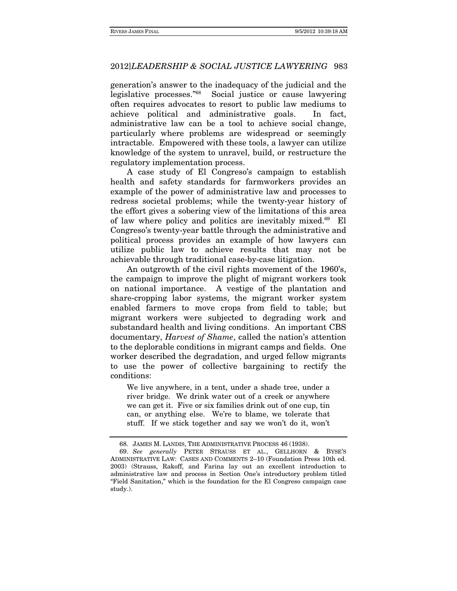generation's answer to the inadequacy of the judicial and the legislative processes."68Social justice or cause lawyering often requires advocates to resort to public law mediums to achieve political and administrative goals. In fact, administrative law can be a tool to achieve social change, particularly where problems are widespread or seemingly intractable. Empowered with these tools, a lawyer can utilize knowledge of the system to unravel, build, or restructure the regulatory implementation process.

A case study of El Congreso's campaign to establish health and safety standards for farmworkers provides an example of the power of administrative law and processes to redress societal problems; while the twenty-year history of the effort gives a sobering view of the limitations of this area of law where policy and politics are inevitably mixed. $69$  El Congreso's twenty-year battle through the administrative and political process provides an example of how lawyers can utilize public law to achieve results that may not be achievable through traditional case-by-case litigation.

An outgrowth of the civil rights movement of the 1960's, the campaign to improve the plight of migrant workers took on national importance. A vestige of the plantation and share-cropping labor systems, the migrant worker system enabled farmers to move crops from field to table; but migrant workers were subjected to degrading work and substandard health and living conditions. An important CBS documentary, Harvest of Shame, called the nation's attention to the deplorable conditions in migrant camps and fields. One worker described the degradation, and urged fellow migrants to use the power of collective bargaining to rectify the conditions:

We live anywhere, in a tent, under a shade tree, under a river bridge. We drink water out of a creek or anywhere we can get it. Five or six families drink out of one cup, tin can, or anything else. We're to blame, we tolerate that stuff. If we stick together and say we won't do it, won't

 <sup>68.</sup> JAMES M. LANDIS, THE ADMINISTRATIVE PROCESS 46 (1938).

<sup>69.</sup> See generally PETER STRAUSS ET AL., GELLHORN & BYSE'S ADMINISTRATIVE LAW: CASES AND COMMENTS 2–10 (Foundation Press 10th ed. 2003) (Strauss, Rakoff, and Farina lay out an excellent introduction to administrative law and process in Section One's introductory problem titled "Field Sanitation," which is the foundation for the El Congreso campaign case study.).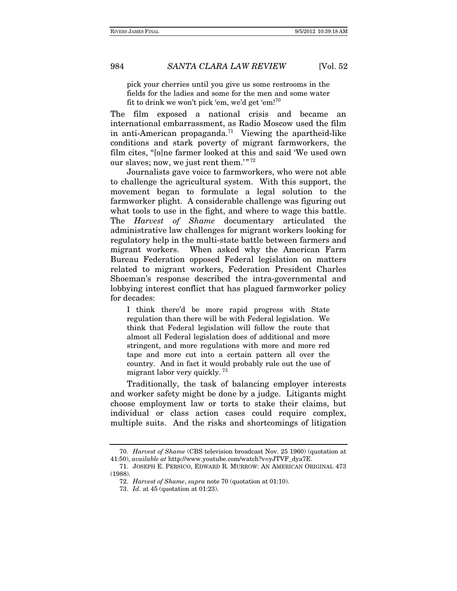pick your cherries until you give us some restrooms in the fields for the ladies and some for the men and some water fit to drink we won't pick 'em, we'd get 'em!<sup>70</sup>

The film exposed a national crisis and became an international embarrassment, as Radio Moscow used the film in anti-American propaganda.<sup>71</sup> Viewing the apartheid-like conditions and stark poverty of migrant farmworkers, the film cites, "[o]ne farmer looked at this and said 'We used own our slaves; now, we just rent them.'"<sup>72</sup>

 Journalists gave voice to farmworkers, who were not able to challenge the agricultural system. With this support, the movement began to formulate a legal solution to the farmworker plight. A considerable challenge was figuring out what tools to use in the fight, and where to wage this battle. The Harvest of Shame documentary articulated the administrative law challenges for migrant workers looking for regulatory help in the multi-state battle between farmers and migrant workers. When asked why the American Farm Bureau Federation opposed Federal legislation on matters related to migrant workers, Federation President Charles Shoeman's response described the intra-governmental and lobbying interest conflict that has plagued farmworker policy for decades:

I think there'd be more rapid progress with State regulation than there will be with Federal legislation. We think that Federal legislation will follow the route that almost all Federal legislation does of additional and more stringent, and more regulations with more and more red tape and more cut into a certain pattern all over the country. And in fact it would probably rule out the use of migrant labor very quickly.<sup>73</sup>

Traditionally, the task of balancing employer interests and worker safety might be done by a judge. Litigants might choose employment law or torts to stake their claims, but individual or class action cases could require complex, multiple suits. And the risks and shortcomings of litigation

<sup>70.</sup> Harvest of Shame (CBS television broadcast Nov. 25 1960) (quotation at 41:50), available at http://www.youtube.com/watch?v=yJTVF\_dya7E.

 <sup>71.</sup> JOSEPH E. PERSICO, EDWARD R. MURROW: AN AMERICAN ORIGINAL 473 (1988).

<sup>72.</sup> Harvest of Shame, supra note 70 (quotation at 01:10).

<sup>73.</sup> Id. at 45 (quotation at 01:23).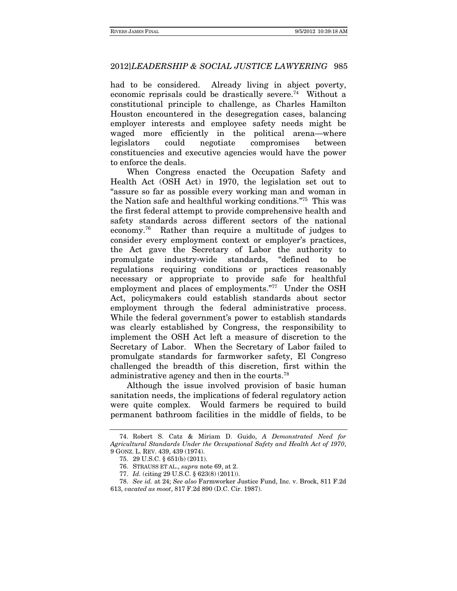had to be considered. Already living in abject poverty, economic reprisals could be drastically severe.<sup>74</sup> Without a constitutional principle to challenge, as Charles Hamilton Houston encountered in the desegregation cases, balancing employer interests and employee safety needs might be waged more efficiently in the political arena—where legislators could negotiate compromises between constituencies and executive agencies would have the power to enforce the deals.

When Congress enacted the Occupation Safety and Health Act (OSH Act) in 1970, the legislation set out to "assure so far as possible every working man and woman in the Nation safe and healthful working conditions."75 This was the first federal attempt to provide comprehensive health and safety standards across different sectors of the national economy.76 Rather than require a multitude of judges to consider every employment context or employer's practices, the Act gave the Secretary of Labor the authority to promulgate industry-wide standards, "defined to be regulations requiring conditions or practices reasonably necessary or appropriate to provide safe for healthful employment and places of employments."77 Under the OSH Act, policymakers could establish standards about sector employment through the federal administrative process. While the federal government's power to establish standards was clearly established by Congress, the responsibility to implement the OSH Act left a measure of discretion to the Secretary of Labor. When the Secretary of Labor failed to promulgate standards for farmworker safety, El Congreso challenged the breadth of this discretion, first within the administrative agency and then in the courts.<sup>78</sup>

Although the issue involved provision of basic human sanitation needs, the implications of federal regulatory action were quite complex. Would farmers be required to build permanent bathroom facilities in the middle of fields, to be

 <sup>74.</sup> Robert S. Catz & Miriam D. Guido, A Demonstrated Need for Agricultural Standards Under the Occupational Safety and Health Act of 1970, 9 GONZ. L. REV. 439, 439 (1974).

 <sup>75. 29</sup> U.S.C. § 651(b) (2011).

 <sup>76.</sup> STRAUSS ET AL., supra note 69, at 2.

<sup>77.</sup> Id. (citing 29 U.S.C. § 623(8) (2011)).

<sup>78.</sup> See id. at 24; See also Farmworker Justice Fund, Inc. v. Brock, 811 F.2d 613, vacated as moot, 817 F.2d 890 (D.C. Cir. 1987).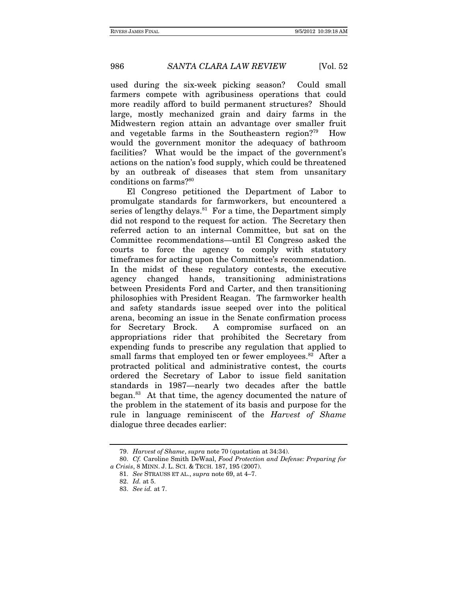used during the six-week picking season? Could small farmers compete with agribusiness operations that could more readily afford to build permanent structures? Should large, mostly mechanized grain and dairy farms in the Midwestern region attain an advantage over smaller fruit and vegetable farms in the Southeastern region?79 How would the government monitor the adequacy of bathroom facilities? What would be the impact of the government's actions on the nation's food supply, which could be threatened by an outbreak of diseases that stem from unsanitary conditions on farms?80

El Congreso petitioned the Department of Labor to promulgate standards for farmworkers, but encountered a series of lengthy delays.<sup>81</sup> For a time, the Department simply did not respond to the request for action. The Secretary then referred action to an internal Committee, but sat on the Committee recommendations—until El Congreso asked the courts to force the agency to comply with statutory timeframes for acting upon the Committee's recommendation. In the midst of these regulatory contests, the executive agency changed hands, transitioning administrations between Presidents Ford and Carter, and then transitioning philosophies with President Reagan. The farmworker health and safety standards issue seeped over into the political arena, becoming an issue in the Senate confirmation process for Secretary Brock. A compromise surfaced on an appropriations rider that prohibited the Secretary from expending funds to prescribe any regulation that applied to small farms that employed ten or fewer employees.<sup>82</sup> After a protracted political and administrative contest, the courts ordered the Secretary of Labor to issue field sanitation standards in 1987—nearly two decades after the battle began.83 At that time, the agency documented the nature of the problem in the statement of its basis and purpose for the rule in language reminiscent of the Harvest of Shame dialogue three decades earlier:

<sup>79.</sup> Harvest of Shame, supra note 70 (quotation at 34:34).

<sup>80.</sup> Cf. Caroline Smith DeWaal, Food Protection and Defense: Preparing for a Crisis, 8 MINN. J. L. SCI. & TECH. 187, 195 (2007).

<sup>81.</sup> See STRAUSS ET AL., supra note 69, at 4–7. 82. Id. at 5.

<sup>83.</sup> See id. at 7.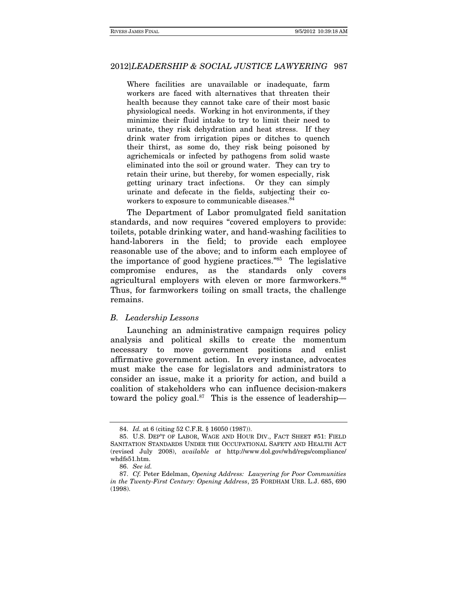Where facilities are unavailable or inadequate, farm workers are faced with alternatives that threaten their health because they cannot take care of their most basic physiological needs. Working in hot environments, if they minimize their fluid intake to try to limit their need to urinate, they risk dehydration and heat stress. If they drink water from irrigation pipes or ditches to quench their thirst, as some do, they risk being poisoned by agrichemicals or infected by pathogens from solid waste eliminated into the soil or ground water. They can try to retain their urine, but thereby, for women especially, risk getting urinary tract infections. Or they can simply urinate and defecate in the fields, subjecting their coworkers to exposure to communicable diseases.<sup>84</sup>

The Department of Labor promulgated field sanitation standards, and now requires "covered employers to provide: toilets, potable drinking water, and hand-washing facilities to hand-laborers in the field; to provide each employee reasonable use of the above; and to inform each employee of the importance of good hygiene practices."85 The legislative compromise endures, as the standards only covers agricultural employers with eleven or more farmworkers.<sup>86</sup> Thus, for farmworkers toiling on small tracts, the challenge remains.

#### B. Leadership Lessons

Launching an administrative campaign requires policy analysis and political skills to create the momentum necessary to move government positions and enlist affirmative government action. In every instance, advocates must make the case for legislators and administrators to consider an issue, make it a priority for action, and build a coalition of stakeholders who can influence decision-makers toward the policy goal. $87$  This is the essence of leadership—

<sup>84.</sup> Id. at 6 (citing 52 C.F.R. § 16050 (1987)).

 <sup>85.</sup> U.S. DEP'T OF LABOR, WAGE AND HOUR DIV., FACT SHEET #51: FIELD SANITATION STANDARDS UNDER THE OCCUPATIONAL SAFETY AND HEALTH ACT (revised July 2008), available at http://www.dol.gov/whd/regs/compliance/ whdfs51.htm.

<sup>86.</sup> See id.

<sup>87.</sup> Cf. Peter Edelman, Opening Address: Lawyering for Poor Communities in the Twenty-First Century: Opening Address, 25 FORDHAM URB. L.J. 685, 690 (1998).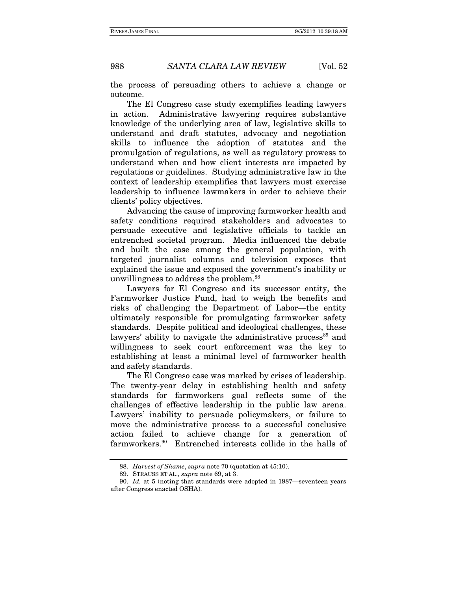the process of persuading others to achieve a change or outcome.

The El Congreso case study exemplifies leading lawyers in action. Administrative lawyering requires substantive knowledge of the underlying area of law, legislative skills to understand and draft statutes, advocacy and negotiation skills to influence the adoption of statutes and the promulgation of regulations, as well as regulatory prowess to understand when and how client interests are impacted by regulations or guidelines. Studying administrative law in the context of leadership exemplifies that lawyers must exercise leadership to influence lawmakers in order to achieve their clients' policy objectives.

Advancing the cause of improving farmworker health and safety conditions required stakeholders and advocates to persuade executive and legislative officials to tackle an entrenched societal program. Media influenced the debate and built the case among the general population, with targeted journalist columns and television exposes that explained the issue and exposed the government's inability or unwillingness to address the problem.88

Lawyers for El Congreso and its successor entity, the Farmworker Justice Fund, had to weigh the benefits and risks of challenging the Department of Labor—the entity ultimately responsible for promulgating farmworker safety standards. Despite political and ideological challenges, these lawyers' ability to navigate the administrative process<sup>89</sup> and willingness to seek court enforcement was the key to establishing at least a minimal level of farmworker health and safety standards.

The El Congreso case was marked by crises of leadership. The twenty-year delay in establishing health and safety standards for farmworkers goal reflects some of the challenges of effective leadership in the public law arena. Lawyers' inability to persuade policymakers, or failure to move the administrative process to a successful conclusive action failed to achieve change for a generation of farmworkers.90 Entrenched interests collide in the halls of

<sup>88.</sup> Harvest of Shame, supra note 70 (quotation at 45:10).

 <sup>89.</sup> STRAUSS ET AL., supra note 69, at 3.

<sup>90.</sup> Id. at 5 (noting that standards were adopted in 1987—seventeen years after Congress enacted OSHA).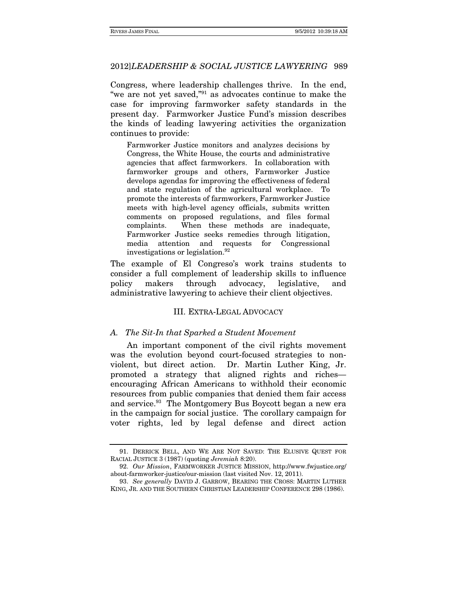Congress, where leadership challenges thrive. In the end, "we are not yet saved,"91 as advocates continue to make the case for improving farmworker safety standards in the present day. Farmworker Justice Fund's mission describes the kinds of leading lawyering activities the organization continues to provide:

Farmworker Justice monitors and analyzes decisions by Congress, the White House, the courts and administrative agencies that affect farmworkers. In collaboration with farmworker groups and others, Farmworker Justice develops agendas for improving the effectiveness of federal and state regulation of the agricultural workplace. To promote the interests of farmworkers, Farmworker Justice meets with high-level agency officials, submits written comments on proposed regulations, and files formal complaints. When these methods are inadequate, Farmworker Justice seeks remedies through litigation, media attention and requests for Congressional investigations or legislation.92

The example of El Congreso's work trains students to consider a full complement of leadership skills to influence policy makers through advocacy, legislative, and administrative lawyering to achieve their client objectives.

### III. EXTRA-LEGAL ADVOCACY

#### A. The Sit-In that Sparked a Student Movement

An important component of the civil rights movement was the evolution beyond court-focused strategies to nonviolent, but direct action. Dr. Martin Luther King, Jr. promoted a strategy that aligned rights and riches encouraging African Americans to withhold their economic resources from public companies that denied them fair access and service.<sup>93</sup> The Montgomery Bus Boycott began a new era in the campaign for social justice. The corollary campaign for voter rights, led by legal defense and direct action

 <sup>91.</sup> DERRICK BELL, AND WE ARE NOT SAVED: THE ELUSIVE QUEST FOR RACIAL JUSTICE 3 (1987) (quoting Jeremiah 8:20).

<sup>92.</sup> Our Mission, FARMWORKER JUSTICE MISSION, http://www.fwjustice.org/ about-farmworker-justice/our-mission (last visited Nov. 12, 2011).

<sup>93.</sup> See generally DAVID J. GARROW, BEARING THE CROSS: MARTIN LUTHER KING, JR. AND THE SOUTHERN CHRISTIAN LEADERSHIP CONFERENCE 298 (1986).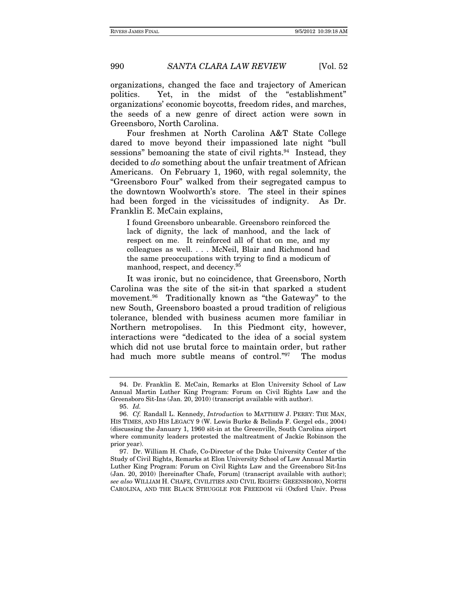organizations, changed the face and trajectory of American politics. Yet, in the midst of the "establishment" organizations' economic boycotts, freedom rides, and marches, the seeds of a new genre of direct action were sown in Greensboro, North Carolina.

Four freshmen at North Carolina A&T State College dared to move beyond their impassioned late night "bull sessions" bemoaning the state of civil rights. $94$  Instead, they decided to do something about the unfair treatment of African Americans. On February 1, 1960, with regal solemnity, the "Greensboro Four" walked from their segregated campus to the downtown Woolworth's store. The steel in their spines had been forged in the vicissitudes of indignity. As Dr. Franklin E. McCain explains,

I found Greensboro unbearable. Greensboro reinforced the lack of dignity, the lack of manhood, and the lack of respect on me. It reinforced all of that on me, and my colleagues as well. . . . McNeil, Blair and Richmond had the same preoccupations with trying to find a modicum of manhood, respect, and decency.95

It was ironic, but no coincidence, that Greensboro, North Carolina was the site of the sit-in that sparked a student movement.<sup>96</sup> Traditionally known as "the Gateway" to the new South, Greensboro boasted a proud tradition of religious tolerance, blended with business acumen more familiar in Northern metropolises. In this Piedmont city, however, interactions were "dedicated to the idea of a social system which did not use brutal force to maintain order, but rather had much more subtle means of control."<sup>97</sup> The modus

 <sup>94.</sup> Dr. Franklin E. McCain, Remarks at Elon University School of Law Annual Martin Luther King Program: Forum on Civil Rights Law and the Greensboro Sit-Ins (Jan. 20, 2010) (transcript available with author).

<sup>95.</sup> Id.

<sup>96.</sup> Cf. Randall L. Kennedy, *Introduction* to MATTHEW J. PERRY: THE MAN, HIS TIMES, AND HIS LEGACY 9 (W. Lewis Burke & Belinda F. Gergel eds., 2004) (discussing the January 1, 1960 sit-in at the Greenville, South Carolina airport where community leaders protested the maltreatment of Jackie Robinson the prior year).

 <sup>97.</sup> Dr. William H. Chafe, Co-Director of the Duke University Center of the Study of Civil Rights, Remarks at Elon University School of Law Annual Martin Luther King Program: Forum on Civil Rights Law and the Greensboro Sit-Ins (Jan. 20, 2010) [hereinafter Chafe, Forum] (transcript available with author); see also WILLIAM H. CHAFE, CIVILITIES AND CIVIL RIGHTS: GREENSBORO, NORTH CAROLINA, AND THE BLACK STRUGGLE FOR FREEDOM vii (Oxford Univ. Press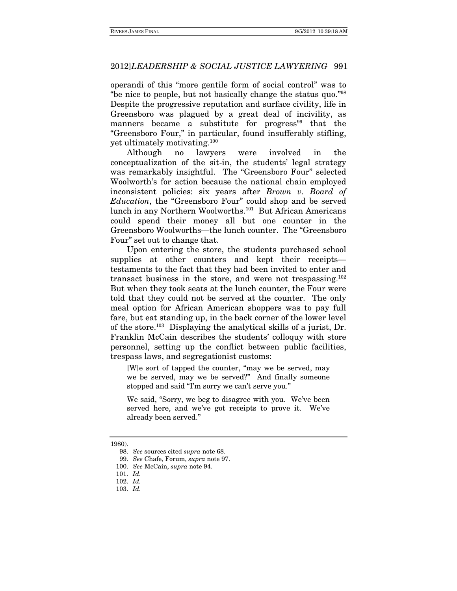operandi of this "more gentile form of social control" was to "be nice to people, but not basically change the status quo."98 Despite the progressive reputation and surface civility, life in Greensboro was plagued by a great deal of incivility, as manners became a substitute for progress<sup>99</sup> that the "Greensboro Four," in particular, found insufferably stifling, yet ultimately motivating.100

Although no lawyers were involved in the conceptualization of the sit-in, the students' legal strategy was remarkably insightful. The "Greensboro Four" selected Woolworth's for action because the national chain employed inconsistent policies: six years after Brown v. Board of Education, the "Greensboro Four" could shop and be served lunch in any Northern Woolworths.101 But African Americans could spend their money all but one counter in the Greensboro Woolworths—the lunch counter. The "Greensboro Four" set out to change that.

Upon entering the store, the students purchased school supplies at other counters and kept their receipts testaments to the fact that they had been invited to enter and transact business in the store, and were not trespassing.102 But when they took seats at the lunch counter, the Four were told that they could not be served at the counter. The only meal option for African American shoppers was to pay full fare, but eat standing up, in the back corner of the lower level of the store.103 Displaying the analytical skills of a jurist, Dr. Franklin McCain describes the students' colloquy with store personnel, setting up the conflict between public facilities, trespass laws, and segregationist customs:

[W]e sort of tapped the counter, "may we be served, may we be served, may we be served?" And finally someone stopped and said "I'm sorry we can't serve you."

We said, "Sorry, we beg to disagree with you. We've been served here, and we've got receipts to prove it. We've already been served."

<sup>1980).</sup> 

<sup>98.</sup> See sources cited supra note 68.

<sup>99.</sup> See Chafe, Forum, supra note 97.

<sup>100.</sup> See McCain, supra note 94.

<sup>101.</sup> Id.

<sup>102.</sup> Id.

<sup>103.</sup> Id.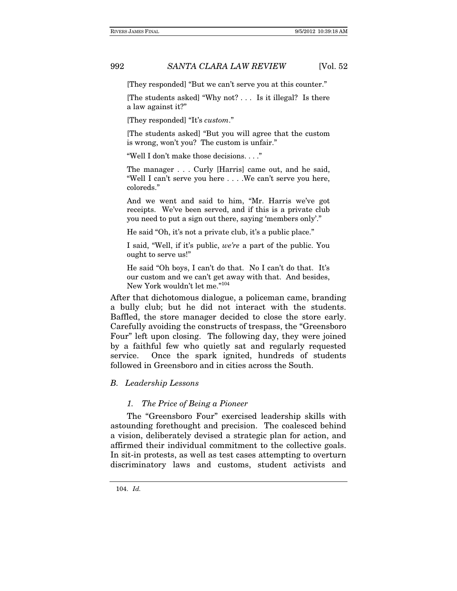[They responded] "But we can't serve you at this counter."

[The students asked] "Why not? . . . Is it illegal? Is there a law against it?"

[They responded] "It's custom."

[The students asked] "But you will agree that the custom is wrong, won't you? The custom is unfair."

"Well I don't make those decisions. . . ."

The manager . . . Curly [Harris] came out, and he said, "Well I can't serve you here . . . .We can't serve you here, coloreds."

And we went and said to him, "Mr. Harris we've got receipts. We've been served, and if this is a private club you need to put a sign out there, saying 'members only'."

He said "Oh, it's not a private club, it's a public place."

I said, "Well, if it's public, we're a part of the public. You ought to serve us!"

He said "Oh boys, I can't do that. No I can't do that. It's our custom and we can't get away with that. And besides, New York wouldn't let me."104

After that dichotomous dialogue, a policeman came, branding a bully club; but he did not interact with the students. Baffled, the store manager decided to close the store early. Carefully avoiding the constructs of trespass, the "Greensboro Four" left upon closing. The following day, they were joined by a faithful few who quietly sat and regularly requested service. Once the spark ignited, hundreds of students followed in Greensboro and in cities across the South.

#### B. Leadership Lessons

#### 1. The Price of Being a Pioneer

The "Greensboro Four" exercised leadership skills with astounding forethought and precision. The coalesced behind a vision, deliberately devised a strategic plan for action, and affirmed their individual commitment to the collective goals. In sit-in protests, as well as test cases attempting to overturn discriminatory laws and customs, student activists and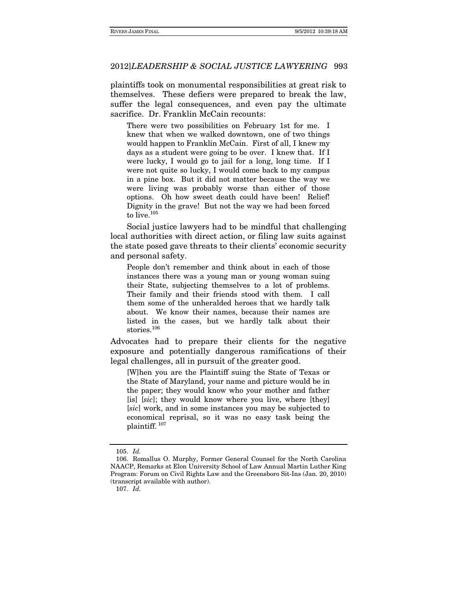plaintiffs took on monumental responsibilities at great risk to themselves. These defiers were prepared to break the law, suffer the legal consequences, and even pay the ultimate sacrifice. Dr. Franklin McCain recounts:

There were two possibilities on February 1st for me. I knew that when we walked downtown, one of two things would happen to Franklin McCain. First of all, I knew my days as a student were going to be over. I knew that. If I were lucky, I would go to jail for a long, long time. If I were not quite so lucky, I would come back to my campus in a pine box. But it did not matter because the way we were living was probably worse than either of those options. Oh how sweet death could have been! Relief! Dignity in the grave! But not the way we had been forced to live.<sup>105</sup>

Social justice lawyers had to be mindful that challenging local authorities with direct action, or filing law suits against the state posed gave threats to their clients' economic security and personal safety.

People don't remember and think about in each of those instances there was a young man or young woman suing their State, subjecting themselves to a lot of problems. Their family and their friends stood with them. I call them some of the unheralded heroes that we hardly talk about. We know their names, because their names are listed in the cases, but we hardly talk about their stories.<sup>106</sup>

Advocates had to prepare their clients for the negative exposure and potentially dangerous ramifications of their legal challenges, all in pursuit of the greater good.

[W]hen you are the Plaintiff suing the State of Texas or the State of Maryland, your name and picture would be in the paper; they would know who your mother and father [is] [sic]; they would know where you live, where [they] [sic] work, and in some instances you may be subjected to economical reprisal, so it was no easy task being the plaintiff. 107

<sup>105.</sup> Id.

 <sup>106.</sup> Romallus O. Murphy, Former General Counsel for the North Carolina NAACP, Remarks at Elon University School of Law Annual Martin Luther King Program: Forum on Civil Rights Law and the Greensboro Sit-Ins (Jan. 20, 2010) (transcript available with author).

<sup>107.</sup> Id.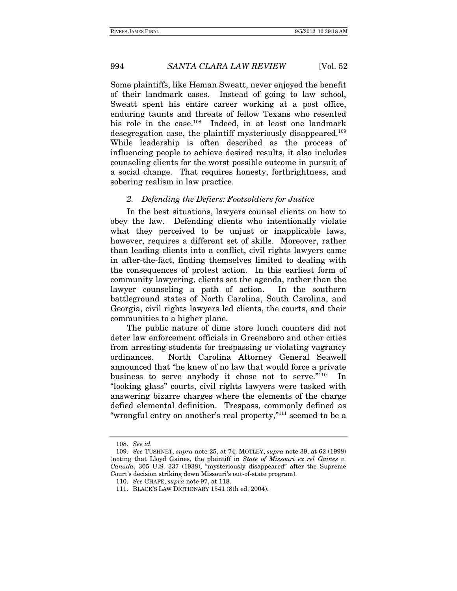Some plaintiffs, like Heman Sweatt, never enjoyed the benefit of their landmark cases. Instead of going to law school, Sweatt spent his entire career working at a post office, enduring taunts and threats of fellow Texans who resented his role in the case.<sup>108</sup> Indeed, in at least one landmark desegregation case, the plaintiff mysteriously disappeared.109 While leadership is often described as the process of influencing people to achieve desired results, it also includes counseling clients for the worst possible outcome in pursuit of a social change. That requires honesty, forthrightness, and sobering realism in law practice.

#### 2. Defending the Defiers: Footsoldiers for Justice

In the best situations, lawyers counsel clients on how to obey the law. Defending clients who intentionally violate what they perceived to be unjust or inapplicable laws, however, requires a different set of skills. Moreover, rather than leading clients into a conflict, civil rights lawyers came in after-the-fact, finding themselves limited to dealing with the consequences of protest action. In this earliest form of community lawyering, clients set the agenda, rather than the lawyer counseling a path of action. In the southern battleground states of North Carolina, South Carolina, and Georgia, civil rights lawyers led clients, the courts, and their communities to a higher plane.

The public nature of dime store lunch counters did not deter law enforcement officials in Greensboro and other cities from arresting students for trespassing or violating vagrancy ordinances. North Carolina Attorney General Seawell announced that "he knew of no law that would force a private business to serve anybody it chose not to serve."110 In "looking glass" courts, civil rights lawyers were tasked with answering bizarre charges where the elements of the charge defied elemental definition. Trespass, commonly defined as "wrongful entry on another's real property,"111 seemed to be a

<sup>108.</sup> See id.

<sup>109.</sup> See TUSHNET, supra note 25, at 74; MOTLEY, supra note 39, at 62 (1998) (noting that Lloyd Gaines, the plaintiff in State of Missouri ex rel Gaines v. Canada, 305 U.S. 337 (1938), "mysteriously disappeared" after the Supreme Court's decision striking down Missouri's out-of-state program).

<sup>110.</sup> See CHAFE, supra note 97, at 118.

 <sup>111.</sup> BLACK'S LAW DICTIONARY 1541 (8th ed. 2004).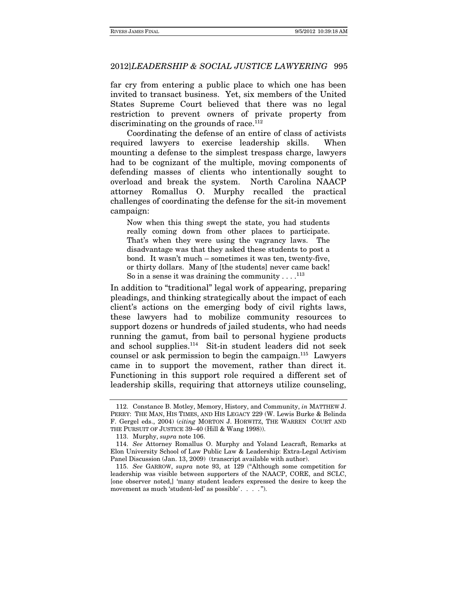far cry from entering a public place to which one has been invited to transact business. Yet, six members of the United States Supreme Court believed that there was no legal restriction to prevent owners of private property from discriminating on the grounds of race. $112$ 

Coordinating the defense of an entire of class of activists required lawyers to exercise leadership skills. When mounting a defense to the simplest trespass charge, lawyers had to be cognizant of the multiple, moving components of defending masses of clients who intentionally sought to overload and break the system. North Carolina NAACP attorney Romallus O. Murphy recalled the practical challenges of coordinating the defense for the sit-in movement campaign:

Now when this thing swept the state, you had students really coming down from other places to participate. That's when they were using the vagrancy laws. The disadvantage was that they asked these students to post a bond. It wasn't much – sometimes it was ten, twenty-five, or thirty dollars. Many of [the students] never came back! So in a sense it was draining the community  $\dots$ .<sup>113</sup>

In addition to "traditional" legal work of appearing, preparing pleadings, and thinking strategically about the impact of each client's actions on the emerging body of civil rights laws, these lawyers had to mobilize community resources to support dozens or hundreds of jailed students, who had needs running the gamut, from bail to personal hygiene products and school supplies.114 Sit-in student leaders did not seek counsel or ask permission to begin the campaign.115 Lawyers came in to support the movement, rather than direct it. Functioning in this support role required a different set of leadership skills, requiring that attorneys utilize counseling,

 <sup>112.</sup> Constance B. Motley, Memory, History, and Community, in MATTHEW J. PERRY: THE MAN, HIS TIMES, AND HIS LEGACY 229 (W. Lewis Burke & Belinda F. Gergel eds., 2004) (citing MORTON J. HORWITZ, THE WARREN COURT AND THE PURSUIT OF JUSTICE 39–40 (Hill & Wang 1998)).

 <sup>113.</sup> Murphy, supra note 106.

<sup>114.</sup> See Attorney Romallus O. Murphy and Yoland Leacraft, Remarks at Elon University School of Law Public Law & Leadership: Extra-Legal Activism Panel Discussion (Jan. 13, 2009) (transcript available with author).

<sup>115.</sup> See GARROW, supra note 93, at 129 ("Although some competition for leadership was visible between supporters of the NAACP, CORE, and SCLC, [one observer noted,] 'many student leaders expressed the desire to keep the movement as much 'student-led' as possible'. . . . ").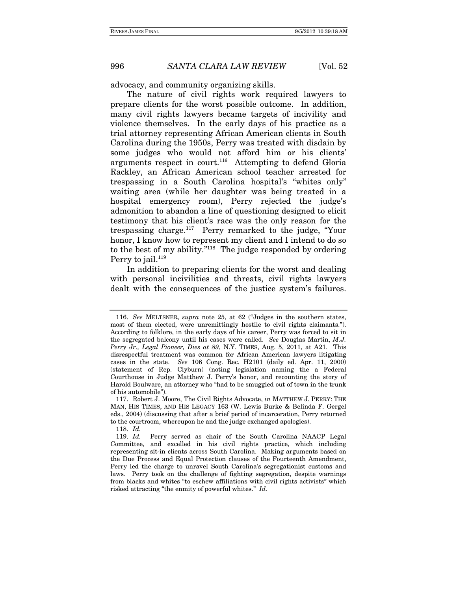advocacy, and community organizing skills.

The nature of civil rights work required lawyers to prepare clients for the worst possible outcome. In addition, many civil rights lawyers became targets of incivility and violence themselves. In the early days of his practice as a trial attorney representing African American clients in South Carolina during the 1950s, Perry was treated with disdain by some judges who would not afford him or his clients' arguments respect in court.<sup>116</sup> Attempting to defend Gloria Rackley, an African American school teacher arrested for trespassing in a South Carolina hospital's "whites only" waiting area (while her daughter was being treated in a hospital emergency room), Perry rejected the judge's admonition to abandon a line of questioning designed to elicit testimony that his client's race was the only reason for the trespassing charge.117 Perry remarked to the judge, "Your honor, I know how to represent my client and I intend to do so to the best of my ability."118 The judge responded by ordering Perry to jail. $119$ 

In addition to preparing clients for the worst and dealing with personal incivilities and threats, civil rights lawyers dealt with the consequences of the justice system's failures.

118. Id.

<sup>116.</sup> See MELTSNER, supra note 25, at 62 ("Judges in the southern states, most of them elected, were unremittingly hostile to civil rights claimants."). According to folklore, in the early days of his career, Perry was forced to sit in the segregated balcony until his cases were called. See Douglas Martin, M.J. Perry Jr., Legal Pioneer, Dies at 89, N.Y. TIMES, Aug. 5, 2011, at A21. This disrespectful treatment was common for African American lawyers litigating cases in the state. See 106 Cong. Rec. H2101 (daily ed. Apr. 11, 2000) (statement of Rep. Clyburn) (noting legislation naming the a Federal Courthouse in Judge Matthew J. Perry's honor, and recounting the story of Harold Boulware, an attorney who "had to be smuggled out of town in the trunk of his automobile").

 <sup>117.</sup> Robert J. Moore, The Civil Rights Advocate, in MATTHEW J. PERRY: THE MAN, HIS TIMES, AND HIS LEGACY 163 (W. Lewis Burke & Belinda F. Gergel eds., 2004) (discussing that after a brief period of incarceration, Perry returned to the courtroom, whereupon he and the judge exchanged apologies).

<sup>119.</sup> Id. Perry served as chair of the South Carolina NAACP Legal Committee, and excelled in his civil rights practice, which including representing sit-in clients across South Carolina. Making arguments based on the Due Process and Equal Protection clauses of the Fourteenth Amendment, Perry led the charge to unravel South Carolina's segregationist customs and laws. Perry took on the challenge of fighting segregation, despite warnings from blacks and whites "to eschew affiliations with civil rights activists" which risked attracting "the enmity of powerful whites." Id.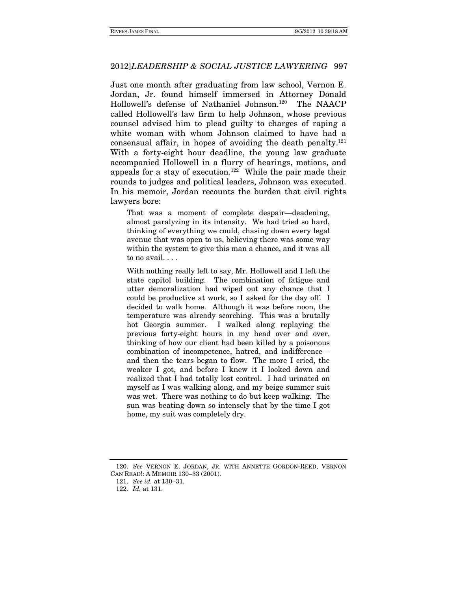Just one month after graduating from law school, Vernon E. Jordan, Jr. found himself immersed in Attorney Donald Hollowell's defense of Nathaniel Johnson.120 The NAACP called Hollowell's law firm to help Johnson, whose previous counsel advised him to plead guilty to charges of raping a white woman with whom Johnson claimed to have had a consensual affair, in hopes of avoiding the death penalty. $121$ With a forty-eight hour deadline, the young law graduate accompanied Hollowell in a flurry of hearings, motions, and appeals for a stay of execution.<sup>122</sup> While the pair made their rounds to judges and political leaders, Johnson was executed. In his memoir, Jordan recounts the burden that civil rights lawyers bore:

That was a moment of complete despair—deadening, almost paralyzing in its intensity. We had tried so hard, thinking of everything we could, chasing down every legal avenue that was open to us, believing there was some way within the system to give this man a chance, and it was all to no avail. . . .

With nothing really left to say, Mr. Hollowell and I left the state capitol building. The combination of fatigue and utter demoralization had wiped out any chance that I could be productive at work, so I asked for the day off. I decided to walk home. Although it was before noon, the temperature was already scorching. This was a brutally hot Georgia summer. I walked along replaying the previous forty-eight hours in my head over and over, thinking of how our client had been killed by a poisonous combination of incompetence, hatred, and indifference and then the tears began to flow. The more I cried, the weaker I got, and before I knew it I looked down and realized that I had totally lost control. I had urinated on myself as I was walking along, and my beige summer suit was wet. There was nothing to do but keep walking. The sun was beating down so intensely that by the time I got home, my suit was completely dry.

<sup>120.</sup> See VERNON E. JORDAN, JR. WITH ANNETTE GORDON-REED, VERNON CAN READ!: A MEMOIR 130–33 (2001).

<sup>121.</sup> See id. at 130–31.

<sup>122.</sup> Id. at 131.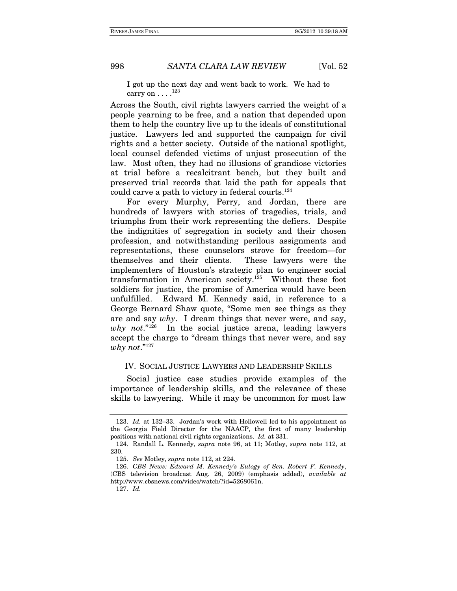I got up the next day and went back to work. We had to carry on  $\dots$ .<sup>123</sup>

Across the South, civil rights lawyers carried the weight of a people yearning to be free, and a nation that depended upon them to help the country live up to the ideals of constitutional justice. Lawyers led and supported the campaign for civil rights and a better society. Outside of the national spotlight, local counsel defended victims of unjust prosecution of the law. Most often, they had no illusions of grandiose victories at trial before a recalcitrant bench, but they built and preserved trial records that laid the path for appeals that could carve a path to victory in federal courts.<sup>124</sup>

For every Murphy, Perry, and Jordan, there are hundreds of lawyers with stories of tragedies, trials, and triumphs from their work representing the defiers. Despite the indignities of segregation in society and their chosen profession, and notwithstanding perilous assignments and representations, these counselors strove for freedom—for themselves and their clients. These lawyers were the implementers of Houston's strategic plan to engineer social transformation in American society.125 Without these foot soldiers for justice, the promise of America would have been unfulfilled. Edward M. Kennedy said, in reference to a George Bernard Shaw quote, "Some men see things as they are and say why. I dream things that never were, and say, why not." $126$  In the social justice arena, leading lawyers accept the charge to "dream things that never were, and say why not." $127$ 

#### IV. SOCIAL JUSTICE LAWYERS AND LEADERSHIP SKILLS

Social justice case studies provide examples of the importance of leadership skills, and the relevance of these skills to lawyering. While it may be uncommon for most law

<sup>123.</sup> Id. at 132–33. Jordan's work with Hollowell led to his appointment as the Georgia Field Director for the NAACP, the first of many leadership positions with national civil rights organizations. Id. at 331.

 <sup>124.</sup> Randall L. Kennedy, supra note 96, at 11; Motley, supra note 112, at 230.

<sup>125.</sup> See Motley, supra note 112, at 224.

<sup>126.</sup> CBS News: Edward M. Kennedy's Eulogy of Sen. Robert F. Kennedy, (CBS television broadcast Aug. 26, 2009) (emphasis added), available at http://www.cbsnews.com/video/watch/?id=5268061n.

<sup>127.</sup> Id.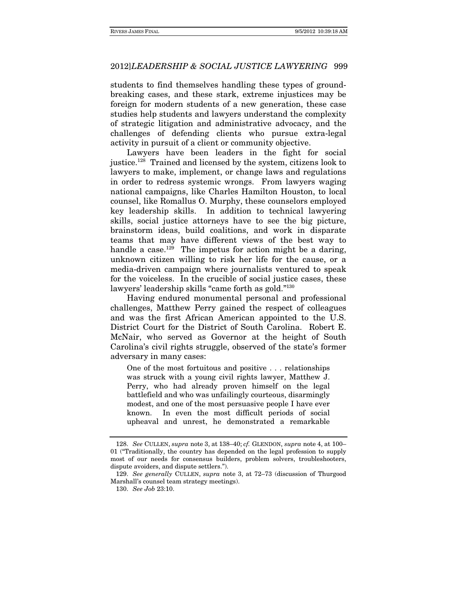students to find themselves handling these types of groundbreaking cases, and these stark, extreme injustices may be foreign for modern students of a new generation, these case studies help students and lawyers understand the complexity of strategic litigation and administrative advocacy, and the challenges of defending clients who pursue extra-legal activity in pursuit of a client or community objective.

Lawyers have been leaders in the fight for social justice.128 Trained and licensed by the system, citizens look to lawyers to make, implement, or change laws and regulations in order to redress systemic wrongs. From lawyers waging national campaigns, like Charles Hamilton Houston, to local counsel, like Romallus O. Murphy, these counselors employed key leadership skills. In addition to technical lawyering skills, social justice attorneys have to see the big picture, brainstorm ideas, build coalitions, and work in disparate teams that may have different views of the best way to handle a case.<sup>129</sup> The impetus for action might be a daring, unknown citizen willing to risk her life for the cause, or a media-driven campaign where journalists ventured to speak for the voiceless. In the crucible of social justice cases, these lawyers' leadership skills "came forth as gold."130

Having endured monumental personal and professional challenges, Matthew Perry gained the respect of colleagues and was the first African American appointed to the U.S. District Court for the District of South Carolina. Robert E. McNair, who served as Governor at the height of South Carolina's civil rights struggle, observed of the state's former adversary in many cases:

One of the most fortuitous and positive . . . relationships was struck with a young civil rights lawyer, Matthew J. Perry, who had already proven himself on the legal battlefield and who was unfailingly courteous, disarmingly modest, and one of the most persuasive people I have ever known. In even the most difficult periods of social upheaval and unrest, he demonstrated a remarkable

<sup>128.</sup> See CULLEN, supra note 3, at 138–40; cf. GLENDON, supra note 4, at 100– 01 ("Traditionally, the country has depended on the legal profession to supply most of our needs for consensus builders, problem solvers, troubleshooters, dispute avoiders, and dispute settlers.").

<sup>129.</sup> See generally CULLEN, supra note 3, at 72–73 (discussion of Thurgood Marshall's counsel team strategy meetings).

<sup>130.</sup> See Job 23:10.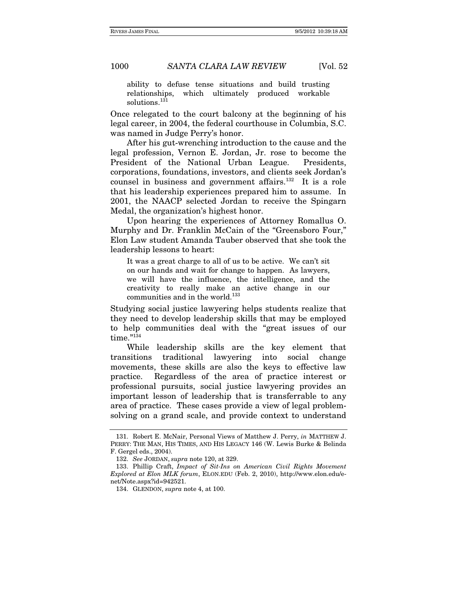ability to defuse tense situations and build trusting relationships, which ultimately produced workable solutions.<sup>131</sup>

Once relegated to the court balcony at the beginning of his legal career, in 2004, the federal courthouse in Columbia, S.C. was named in Judge Perry's honor.

After his gut-wrenching introduction to the cause and the legal profession, Vernon E. Jordan, Jr. rose to become the President of the National Urban League. Presidents, corporations, foundations, investors, and clients seek Jordan's counsel in business and government affairs.132 It is a role that his leadership experiences prepared him to assume. In 2001, the NAACP selected Jordan to receive the Spingarn Medal, the organization's highest honor.

Upon hearing the experiences of Attorney Romallus O. Murphy and Dr. Franklin McCain of the "Greensboro Four," Elon Law student Amanda Tauber observed that she took the leadership lessons to heart:

It was a great charge to all of us to be active. We can't sit on our hands and wait for change to happen. As lawyers, we will have the influence, the intelligence, and the creativity to really make an active change in our communities and in the world.<sup>133</sup>

Studying social justice lawyering helps students realize that they need to develop leadership skills that may be employed to help communities deal with the "great issues of our time."134

While leadership skills are the key element that transitions traditional lawyering into social change movements, these skills are also the keys to effective law practice. Regardless of the area of practice interest or professional pursuits, social justice lawyering provides an important lesson of leadership that is transferrable to any area of practice. These cases provide a view of legal problemsolving on a grand scale, and provide context to understand

 <sup>131.</sup> Robert E. McNair, Personal Views of Matthew J. Perry, in MATTHEW J. PERRY: THE MAN, HIS TIMES, AND HIS LEGACY 146 (W. Lewis Burke & Belinda F. Gergel eds., 2004).

<sup>132.</sup> See JORDAN, supra note 120, at 329.

 <sup>133.</sup> Phillip Craft, Impact of Sit-Ins on American Civil Rights Movement Explored at Elon MLK forum, ELON.EDU (Feb. 2, 2010), http://www.elon.edu/enet/Note.aspx?id=942521.

 <sup>134.</sup> GLENDON, supra note 4, at 100.